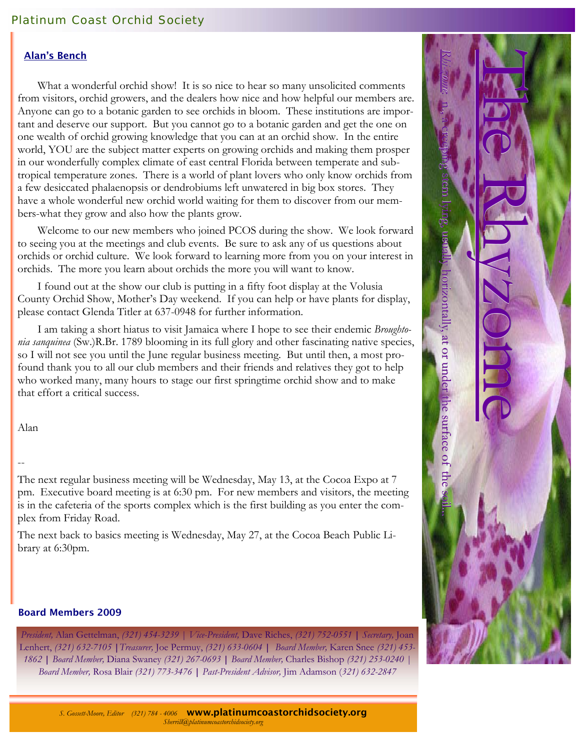## Platinum Coast Orchid Society

#### Alan's Bench

 What a wonderful orchid show! It is so nice to hear so many unsolicited comments from visitors, orchid growers, and the dealers how nice and how helpful our members are. Anyone can go to a botanic garden to see orchids in bloom. These institutions are important and deserve our support. But you cannot go to a botanic garden and get the one on one wealth of orchid growing knowledge that you can at an orchid show. In the entire world, YOU are the subject matter experts on growing orchids and making them prosper in our wonderfully complex climate of east central Florida between temperate and subtropical temperature zones. There is a world of plant lovers who only know orchids from a few desiccated phalaenopsis or dendrobiums left unwatered in big box stores. They have a whole wonderful new orchid world waiting for them to discover from our members-what they grow and also how the plants grow.

 Welcome to our new members who joined PCOS during the show. We look forward to seeing you at the meetings and club events. Be sure to ask any of us questions about orchids or orchid culture. We look forward to learning more from you on your interest in orchids. The more you learn about orchids the more you will want to know.

 I found out at the show our club is putting in a fifty foot display at the Volusia County Orchid Show, Mother's Day weekend. If you can help or have plants for display, please contact Glenda Titler at 637-0948 for further information.

 I am taking a short hiatus to visit Jamaica where I hope to see their endemic *Broughtonia sanquinea* (Sw.)R.Br. 1789 blooming in its full glory and other fascinating native species, so I will not see you until the June regular business meeting. But until then, a most profound thank you to all our club members and their friends and relatives they got to help who worked many, many hours to stage our first springtime orchid show and to make that effort a critical success.

Alan

## --

The next regular business meeting will be Wednesday, May 13, at the Cocoa Expo at 7 pm. Executive board meeting is at 6:30 pm. For new members and visitors, the meeting is in the cafeteria of the sports complex which is the first building as you enter the complex from Friday Road.

The next back to basics meeting is Wednesday, May 27, at the Cocoa Beach Public Library at 6:30pm.

#### Board Members 2009

*President,* Alan Gettelman, *(321) 454-3239 | Vice-President,* Dave Riches, *(321) 752-0551* **|** *Secretary,* Joan Lenhert, *(321) 632-7105* **|***Treasurer,* Joe Permuy, *(321) 633-0604* **|** *Board Member,* Karen Snee *(321) 453- 1862* **|** *Board Member,* Diana Swaney *(321) 267-0693* **|** *Board Member,* Charles Bishop *(321) 253-0240 | Board Member,* Rosa Blair *(321) 773-3476* **|** *Past-President Advisor,* Jim Adamson (*321) 632-2847* 



*S. Gossett-Moore, Editor (321) 784 - 4006* www.platinumcoastorchidsociety.org*Sherrill@platinumcoastorchidsociety.org*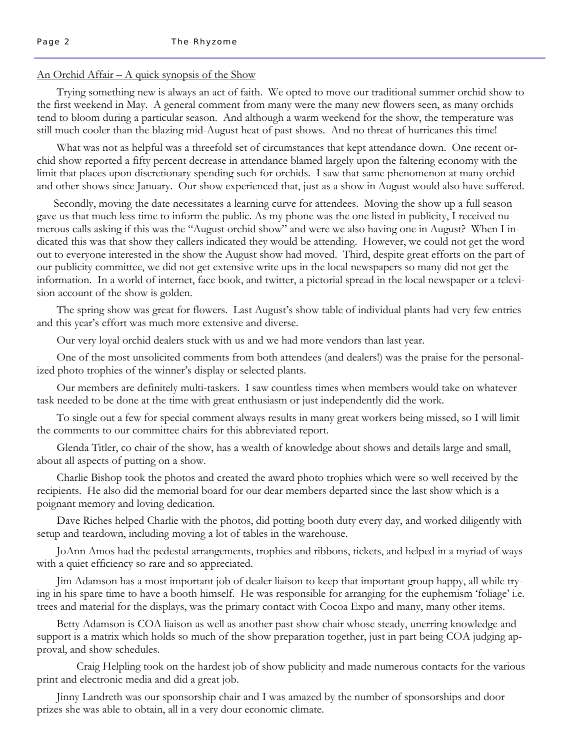#### An Orchid Affair – A quick synopsis of the Show

 Trying something new is always an act of faith. We opted to move our traditional summer orchid show to the first weekend in May. A general comment from many were the many new flowers seen, as many orchids tend to bloom during a particular season. And although a warm weekend for the show, the temperature was still much cooler than the blazing mid-August heat of past shows. And no threat of hurricanes this time!

 What was not as helpful was a threefold set of circumstances that kept attendance down. One recent orchid show reported a fifty percent decrease in attendance blamed largely upon the faltering economy with the limit that places upon discretionary spending such for orchids. I saw that same phenomenon at many orchid and other shows since January. Our show experienced that, just as a show in August would also have suffered.

 Secondly, moving the date necessitates a learning curve for attendees. Moving the show up a full season gave us that much less time to inform the public. As my phone was the one listed in publicity, I received numerous calls asking if this was the "August orchid show" and were we also having one in August? When I indicated this was that show they callers indicated they would be attending. However, we could not get the word out to everyone interested in the show the August show had moved. Third, despite great efforts on the part of our publicity committee, we did not get extensive write ups in the local newspapers so many did not get the information. In a world of internet, face book, and twitter, a pictorial spread in the local newspaper or a television account of the show is golden.

 The spring show was great for flowers. Last August's show table of individual plants had very few entries and this year's effort was much more extensive and diverse.

Our very loyal orchid dealers stuck with us and we had more vendors than last year.

 One of the most unsolicited comments from both attendees (and dealers!) was the praise for the personalized photo trophies of the winner's display or selected plants.

 Our members are definitely multi-taskers. I saw countless times when members would take on whatever task needed to be done at the time with great enthusiasm or just independently did the work.

 To single out a few for special comment always results in many great workers being missed, so I will limit the comments to our committee chairs for this abbreviated report.

 Glenda Titler, co chair of the show, has a wealth of knowledge about shows and details large and small, about all aspects of putting on a show.

 Charlie Bishop took the photos and created the award photo trophies which were so well received by the recipients. He also did the memorial board for our dear members departed since the last show which is a poignant memory and loving dedication.

 Dave Riches helped Charlie with the photos, did potting booth duty every day, and worked diligently with setup and teardown, including moving a lot of tables in the warehouse.

 JoAnn Amos had the pedestal arrangements, trophies and ribbons, tickets, and helped in a myriad of ways with a quiet efficiency so rare and so appreciated.

 Jim Adamson has a most important job of dealer liaison to keep that important group happy, all while trying in his spare time to have a booth himself. He was responsible for arranging for the euphemism 'foliage' i.e. trees and material for the displays, was the primary contact with Cocoa Expo and many, many other items.

 Betty Adamson is COA liaison as well as another past show chair whose steady, unerring knowledge and support is a matrix which holds so much of the show preparation together, just in part being COA judging approval, and show schedules.

 Craig Helpling took on the hardest job of show publicity and made numerous contacts for the various print and electronic media and did a great job.

 Jinny Landreth was our sponsorship chair and I was amazed by the number of sponsorships and door prizes she was able to obtain, all in a very dour economic climate.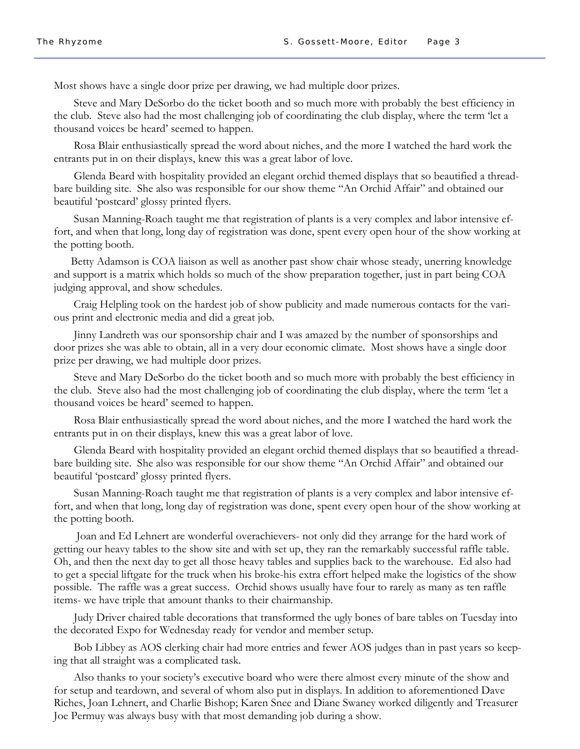Most shows have a single door prize per drawing, we had multiple door prizes.

 Steve and Mary DeSorbo do the ticket booth and so much more with probably the best efficiency in the club. Steve also had the most challenging job of coordinating the club display, where the term 'let a thousand voices be heard' seemed to happen.

 Rosa Blair enthusiastically spread the word about niches, and the more I watched the hard work the entrants put in on their displays, knew this was a great labor of love.

 Glenda Beard with hospitality provided an elegant orchid themed displays that so beautified a threadbare building site. She also was responsible for our show theme "An Orchid Affair" and obtained our beautiful 'postcard' glossy printed flyers.

 Susan Manning-Roach taught me that registration of plants is a very complex and labor intensive effort, and when that long, long day of registration was done, spent every open hour of the show working at the potting booth.

 Betty Adamson is COA liaison as well as another past show chair whose steady, unerring knowledge and support is a matrix which holds so much of the show preparation together, just in part being COA judging approval, and show schedules.

 Craig Helpling took on the hardest job of show publicity and made numerous contacts for the various print and electronic media and did a great job.

 Jinny Landreth was our sponsorship chair and I was amazed by the number of sponsorships and door prizes she was able to obtain, all in a very dour economic climate. Most shows have a single door prize per drawing, we had multiple door prizes.

 Steve and Mary DeSorbo do the ticket booth and so much more with probably the best efficiency in the club. Steve also had the most challenging job of coordinating the club display, where the term 'let a thousand voices be heard' seemed to happen.

 Rosa Blair enthusiastically spread the word about niches, and the more I watched the hard work the entrants put in on their displays, knew this was a great labor of love.

 Glenda Beard with hospitality provided an elegant orchid themed displays that so beautified a threadbare building site. She also was responsible for our show theme "An Orchid Affair" and obtained our beautiful 'postcard' glossy printed flyers.

 Susan Manning-Roach taught me that registration of plants is a very complex and labor intensive effort, and when that long, long day of registration was done, spent every open hour of the show working at the potting booth.

 Joan and Ed Lehnert are wonderful overachievers- not only did they arrange for the hard work of getting our heavy tables to the show site and with set up, they ran the remarkably successful raffle table. Oh, and then the next day to get all those heavy tables and supplies back to the warehouse. Ed also had to get a special liftgate for the truck when his broke-his extra effort helped make the logistics of the show possible. The raffle was a great success. Orchid shows usually have four to rarely as many as ten raffle items- we have triple that amount thanks to their chairmanship.

 Judy Driver chaired table decorations that transformed the ugly bones of bare tables on Tuesday into the decorated Expo for Wednesday ready for vendor and member setup.

 Bob Libbey as AOS clerking chair had more entries and fewer AOS judges than in past years so keeping that all straight was a complicated task.

 Also thanks to your society's executive board who were there almost every minute of the show and for setup and teardown, and several of whom also put in displays. In addition to aforementioned Dave Riches, Joan Lehnert, and Charlie Bishop; Karen Snee and Diane Swaney worked diligently and Treasurer Joe Permuy was always busy with that most demanding job during a show.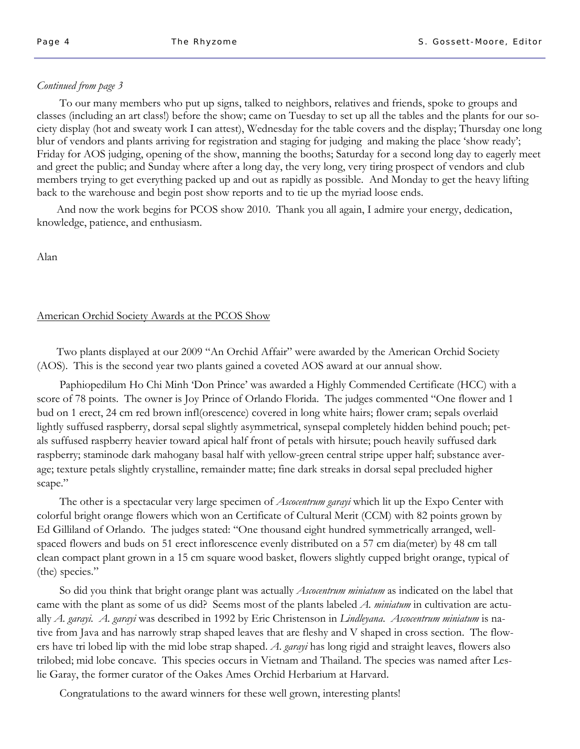#### *Continued from page 3*

 To our many members who put up signs, talked to neighbors, relatives and friends, spoke to groups and classes (including an art class!) before the show; came on Tuesday to set up all the tables and the plants for our society display (hot and sweaty work I can attest), Wednesday for the table covers and the display; Thursday one long blur of vendors and plants arriving for registration and staging for judging and making the place 'show ready'; Friday for AOS judging, opening of the show, manning the booths; Saturday for a second long day to eagerly meet and greet the public; and Sunday where after a long day, the very long, very tiring prospect of vendors and club members trying to get everything packed up and out as rapidly as possible. And Monday to get the heavy lifting back to the warehouse and begin post show reports and to tie up the myriad loose ends.

 And now the work begins for PCOS show 2010. Thank you all again, I admire your energy, dedication, knowledge, patience, and enthusiasm.

Alan

## American Orchid Society Awards at the PCOS Show

 Two plants displayed at our 2009 "An Orchid Affair" were awarded by the American Orchid Society (AOS). This is the second year two plants gained a coveted AOS award at our annual show.

 Paphiopedilum Ho Chi Minh 'Don Prince' was awarded a Highly Commended Certificate (HCC) with a score of 78 points. The owner is Joy Prince of Orlando Florida. The judges commented "One flower and 1 bud on 1 erect, 24 cm red brown infl(orescence) covered in long white hairs; flower cram; sepals overlaid lightly suffused raspberry, dorsal sepal slightly asymmetrical, synsepal completely hidden behind pouch; petals suffused raspberry heavier toward apical half front of petals with hirsute; pouch heavily suffused dark raspberry; staminode dark mahogany basal half with yellow-green central stripe upper half; substance average; texture petals slightly crystalline, remainder matte; fine dark streaks in dorsal sepal precluded higher scape."

 The other is a spectacular very large specimen of *Ascocentrum garayi* which lit up the Expo Center with colorful bright orange flowers which won an Certificate of Cultural Merit (CCM) with 82 points grown by Ed Gilliland of Orlando. The judges stated: "One thousand eight hundred symmetrically arranged, wellspaced flowers and buds on 51 erect inflorescence evenly distributed on a 57 cm dia(meter) by 48 cm tall clean compact plant grown in a 15 cm square wood basket, flowers slightly cupped bright orange, typical of (the) species."

 So did you think that bright orange plant was actually *Ascocentrum miniatum* as indicated on the label that came with the plant as some of us did? Seems most of the plants labeled *A. miniatum* in cultivation are actually *A. garayi. A. garayi* was described in 1992 by Eric Christenson in *Lindleyana*. *Ascocentrum miniatum* is native from Java and has narrowly strap shaped leaves that are fleshy and V shaped in cross section. The flowers have tri lobed lip with the mid lobe strap shaped. *A*. *garayi* has long rigid and straight leaves, flowers also trilobed; mid lobe concave. This species occurs in Vietnam and Thailand. The species was named after Leslie Garay, the former curator of the Oakes Ames Orchid Herbarium at Harvard.

Congratulations to the award winners for these well grown, interesting plants!